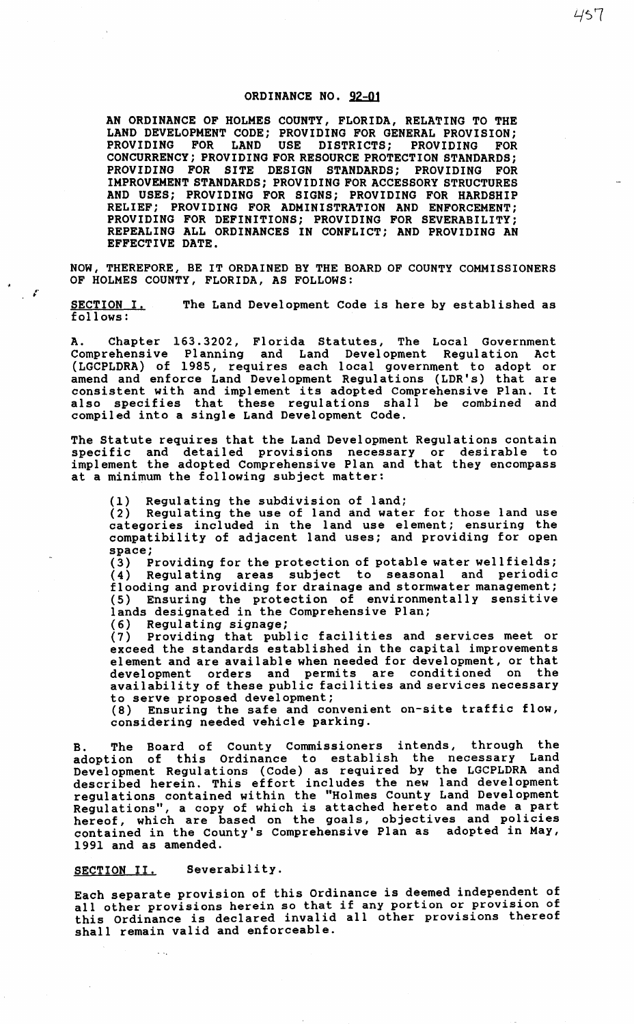## ORDINANCE NO. 92-01

AN ORDINANCE OF HOLMES COUNTY, FLORIDA, RELATING TO THE LAND DEVELOPMENT CODE; PROVIDING FOR GENERAL PROVISION;<br>PROVIDING FOR LAND USE DISTRICTS; PROVIDING FOR USE DISTRICTS; PROVIDING FOR CONCURRENCY; PROVIDING FOR RESOURCE PROTECTION STANDARDS; PROVIDING FOR SITE DESIGN STANDARDS; PROVIDING FOR IMPROVEMENT STANDARDS; PROVIDING FOR ACCESSORY STRUCTURES AND USES; PROVIDING FOR SIGNS; PROVIDING FOR HARDSHIP RELIEF; PROVIDING FOR ADMINISTRATION AND ENFORCEMENT; PROVIDING FOR DEFINITIONS; PROVIDING FOR SEVERABILITY; REPEALING ALL ORDINANCES IN CONFLICT; AND PROVIDING AN EFFECTIVE DATE.

NOW, THEREFORE, BE IT ORDAINED BY THE BOARD OF COUNTY COMMISSIONERS OF HOLMES COUNTY, FLORIDA, AS FOLLOWS:

SECTION I. follows: The Land Development Code is here by established as

A. Chapter 163.3202, Florida Statutes, The Local Government Comprehensive Planning and Land Development Regulation Act (LGCPLDRA) of 1985, requires each local government to adopt or amend and enforce Land Development Regulations (LDR's) that are consistent with and implement its adopted Comprehensive Plan. It also specifies that these regulations shall be combined and compiled into a single Land Development Code.

The Statute requires that the Land Development Regulations contain specific and detailed provisions necessary or desirable to implement the adopted Comprehensive Plan and that they encompass at a minimum the following subject matter:

(1) Regulating the subdivision of land;

(2) Regulating the use of land and water for those land use categories included in the land use element; ensuring the compatibility of adjacent land uses; and providing for open space;

(3) Providing for the protection of potable water wellfields;<br>(4) Regulating areas subject to seasonal and periodic Regulating areas subject to seasonal and periodic flooding and providing for drainage and stormwater management; (5) Ensuring the protection of environmentally sensitive lands designated in the Comprehensive Plan;

(6) Regulating signage;

 $\mathcal{L}$ 

(7) Providing that public facilities and services meet or exceed the standards established in the capital improvements element and are available when needed for development, or that development orders and permits are conditioned on the availability of these public facilities and services necessary to serve proposed development;

(8) Ensuring the safe and convenient on-site traffic flow, considering needed vehicle parking.

B. The Board of County Commissioners intends, through the adoption of this Ordinance to establish the necessary Land Development Regulations (Code) as required by the LGCPLDRA and described herein. This effort includes the new land development regulations contained within the "Holmes County Land Development Regulations", a copy of which is attached hereto and made a part hereof, which are based on the goals, objectives and policies contained in the County's Comprehensive Plan as adopted in May, 1991 and as amended.

SECTION II. Severability.

Each separate provision of this Ordinance is deemed independent of all other provisions herein so that if any portion or provision of this ordinance is declared invalid all other provisions thereof shall remain valid and enforceable.